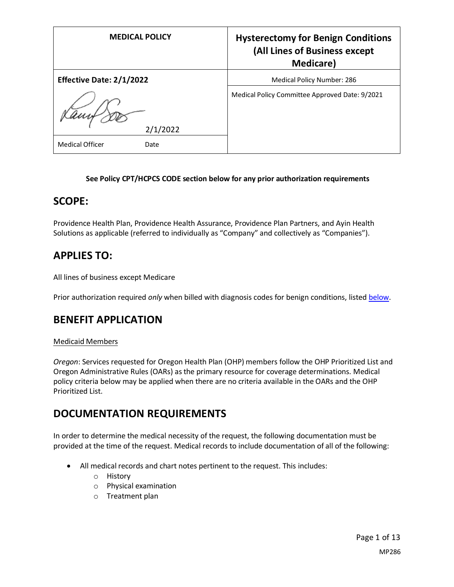| <b>MEDICAL POLICY</b>           | <b>Hysterectomy for Benign Conditions</b><br>(All Lines of Business except<br><b>Medicare</b> ) |
|---------------------------------|-------------------------------------------------------------------------------------------------|
| <b>Effective Date: 2/1/2022</b> | <b>Medical Policy Number: 286</b>                                                               |
| 2/1/2022                        | Medical Policy Committee Approved Date: 9/2021                                                  |
| <b>Medical Officer</b><br>Date  |                                                                                                 |

### **See Policy CPT/HCPCS CODE section below for any prior authorization requirements**

### **SCOPE:**

Providence Health Plan, Providence Health Assurance, Providence Plan Partners, and Ayin Health Solutions as applicable (referred to individually as "Company" and collectively as "Companies").

## **APPLIES TO:**

All lines of business except Medicare

Prior authorization required *only* when billed with diagnosis codes for benign conditions, listed [below.](#page-7-0)

### **BENEFIT APPLICATION**

### Medicaid Members

*Oregon*: Services requested for Oregon Health Plan (OHP) members follow the OHP Prioritized List and Oregon Administrative Rules (OARs) as the primary resource for coverage determinations. Medical policy criteria below may be applied when there are no criteria available in the OARs and the OHP Prioritized List.

## **DOCUMENTATION REQUIREMENTS**

In order to determine the medical necessity of the request, the following documentation must be provided at the time of the request. Medical records to include documentation of all of the following:

- All medical records and chart notes pertinent to the request. This includes:
	- o History
	- o Physical examination
	- o Treatment plan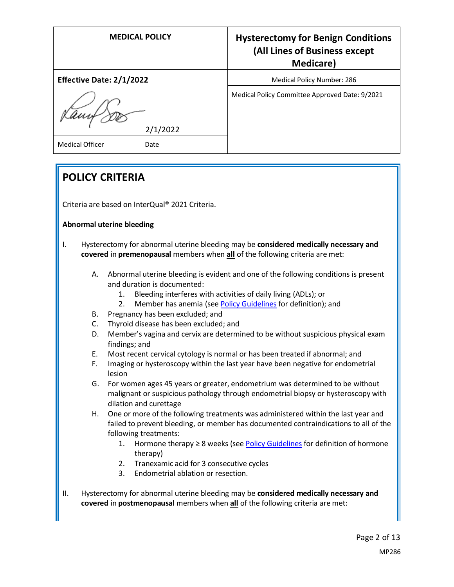| <b>MEDICAL POLICY</b>           | <b>Hysterectomy for Benign Conditions</b><br>(All Lines of Business except<br><b>Medicare</b> ) |
|---------------------------------|-------------------------------------------------------------------------------------------------|
| <b>Effective Date: 2/1/2022</b> | <b>Medical Policy Number: 286</b>                                                               |
| 2/1/2022                        | Medical Policy Committee Approved Date: 9/2021                                                  |
| <b>Medical Officer</b><br>Date  |                                                                                                 |

# **POLICY CRITERIA**

Criteria are based on InterQual® 2021 Criteria.

### **Abnormal uterine bleeding**

- I. Hysterectomy for abnormal uterine bleeding may be **considered medically necessary and covered** in **premenopausal** members when **all** of the following criteria are met:
	- A. Abnormal uterine bleeding is evident and one of the following conditions is present and duration is documented:
		- 1. Bleeding interferes with activities of daily living (ADLs); or
		- 2. Member has anemia (se[e Policy Guidelines](#page-6-0) for definition); and
	- B. Pregnancy has been excluded; and
	- C. Thyroid disease has been excluded; and
	- D. Member's vagina and cervix are determined to be without suspicious physical exam findings; and
	- E. Most recent cervical cytology is normal or has been treated if abnormal; and
	- F. Imaging or hysteroscopy within the last year have been negative for endometrial lesion
	- G. For women ages 45 years or greater, endometrium was determined to be without malignant or suspicious pathology through endometrial biopsy or hysteroscopy with dilation and curettage
	- H. One or more of the following treatments was administered within the last year and failed to prevent bleeding, or member has documented contraindications to all of the following treatments:
		- 1. Hormone therapy  $\geq 8$  weeks (se[e Policy Guidelines](#page-6-0) for definition of hormone therapy)
		- 2. Tranexamic acid for 3 consecutive cycles
		- 3. Endometrial ablation or resection.
- II. Hysterectomy for abnormal uterine bleeding may be **considered medically necessary and covered** in **postmenopausal** members when **all** of the following criteria are met: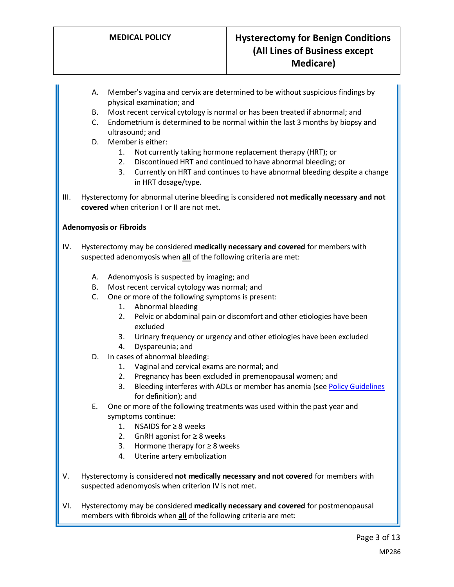- A. Member's vagina and cervix are determined to be without suspicious findings by physical examination; and
- B. Most recent cervical cytology is normal or has been treated if abnormal; and
- C. Endometrium is determined to be normal within the last 3 months by biopsy and ultrasound; and
- D. Member is either:
	- 1. Not currently taking hormone replacement therapy (HRT); or
	- 2. Discontinued HRT and continued to have abnormal bleeding; or
	- 3. Currently on HRT and continues to have abnormal bleeding despite a change in HRT dosage/type.
- III. Hysterectomy for abnormal uterine bleeding is considered **not medically necessary and not covered** when criterion I or II are not met.

### **Adenomyosis or Fibroids**

- IV. Hysterectomy may be considered **medically necessary and covered** for members with suspected adenomyosis when **all** of the following criteria are met:
	- A. Adenomyosis is suspected by imaging; and
	- B. Most recent cervical cytology was normal; and
	- C. One or more of the following symptoms is present:
		- 1. Abnormal bleeding
		- 2. Pelvic or abdominal pain or discomfort and other etiologies have been excluded
		- 3. Urinary frequency or urgency and other etiologies have been excluded
		- 4. Dyspareunia; and
	- D. In cases of abnormal bleeding:
		- 1. Vaginal and cervical exams are normal; and
		- 2. Pregnancy has been excluded in premenopausal women; and
		- 3. Bleeding interferes with ADLs or member has anemia (se[e Policy Guidelines](#page-6-0) for definition); and
	- E. One or more of the following treatments was used within the past year and symptoms continue:
		- 1. NSAIDS for ≥ 8 weeks
		- 2. GnRH agonist for ≥ 8 weeks
		- 3. Hormone therapy for  $≥ 8$  weeks
		- 4. Uterine artery embolization
- V. Hysterectomy is considered **not medically necessary and not covered** for members with suspected adenomyosis when criterion IV is not met.
- VI. Hysterectomy may be considered **medically necessary and covered** for postmenopausal members with fibroids when **all** of the following criteria are met: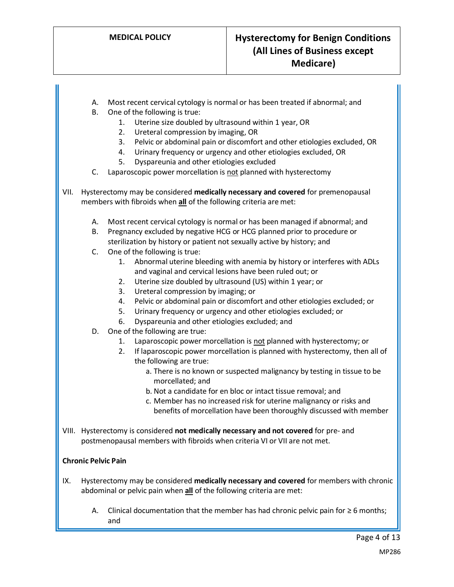- A. Most recent cervical cytology is normal or has been treated if abnormal; and
- B. One of the following is true:
	- 1. Uterine size doubled by ultrasound within 1 year, OR
	- 2. Ureteral compression by imaging, OR
	- 3. Pelvic or abdominal pain or discomfort and other etiologies excluded, OR
	- 4. Urinary frequency or urgency and other etiologies excluded, OR
	- 5. Dyspareunia and other etiologies excluded
- C. Laparoscopic power morcellation is not planned with hysterectomy
- VII. Hysterectomy may be considered **medically necessary and covered** for premenopausal members with fibroids when **all** of the following criteria are met:
	- A. Most recent cervical cytology is normal or has been managed if abnormal; and
	- B. Pregnancy excluded by negative HCG or HCG planned prior to procedure or sterilization by history or patient not sexually active by history; and
	- C. One of the following is true:
		- 1. Abnormal uterine bleeding with anemia by history or interferes with ADLs and vaginal and cervical lesions have been ruled out; or
		- 2. Uterine size doubled by ultrasound (US) within 1 year; or
		- 3. Ureteral compression by imaging; or
		- 4. Pelvic or abdominal pain or discomfort and other etiologies excluded; or
		- 5. Urinary frequency or urgency and other etiologies excluded; or
		- 6. Dyspareunia and other etiologies excluded; and
	- D. One of the following are true:
		- 1. Laparoscopic power morcellation is not planned with hysterectomy; or
		- 2. If laparoscopic power morcellation is planned with hysterectomy, then all of the following are true:
			- a. There is no known or suspected malignancy by testing in tissue to be morcellated; and
			- b. Not a candidate for en bloc or intact tissue removal; and
			- c. Member has no increased risk for uterine malignancy or risks and benefits of morcellation have been thoroughly discussed with member
- VIII. Hysterectomy is considered **not medically necessary and not covered** for pre- and postmenopausal members with fibroids when criteria VI or VII are not met.

### **Chronic Pelvic Pain**

- IX. Hysterectomy may be considered **medically necessary and covered** for members with chronic abdominal or pelvic pain when **all** of the following criteria are met:
	- A. Clinical documentation that the member has had chronic pelvic pain for  $\geq 6$  months; and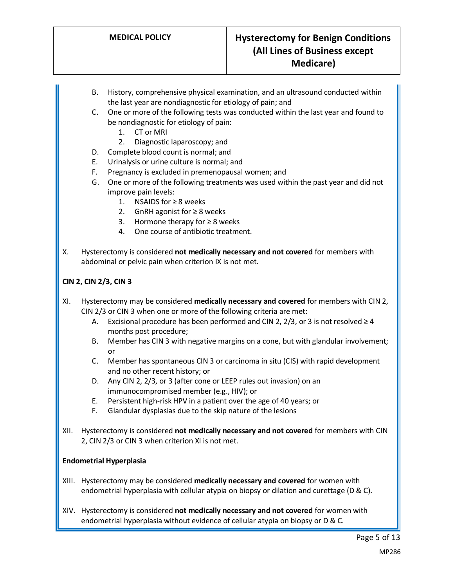- B. History, comprehensive physical examination, and an ultrasound conducted within the last year are nondiagnostic for etiology of pain; and
- C. One or more of the following tests was conducted within the last year and found to be nondiagnostic for etiology of pain:
	- 1. CT or MRI
	- 2. Diagnostic laparoscopy; and
- D. Complete blood count is normal; and
- E. Urinalysis or urine culture is normal; and
- F. Pregnancy is excluded in premenopausal women; and
- G. One or more of the following treatments was used within the past year and did not improve pain levels:
	- 1. NSAIDS for ≥ 8 weeks
	- 2. GnRH agonist for ≥ 8 weeks
	- 3. Hormone therapy for  $≥ 8$  weeks
	- 4. One course of antibiotic treatment.
- X. Hysterectomy is considered **not medically necessary and not covered** for members with abdominal or pelvic pain when criterion IX is not met.

### **CIN 2, CIN 2/3, CIN 3**

- XI. Hysterectomy may be considered **medically necessary and covered** for members with CIN 2, CIN 2/3 or CIN 3 when one or more of the following criteria are met:
	- A. Excisional procedure has been performed and CIN 2, 2/3, or 3 is not resolved  $\geq 4$ months post procedure;
	- B. Member has CIN 3 with negative margins on a cone, but with glandular involvement; or
	- C. Member has spontaneous CIN 3 or carcinoma in situ (CIS) with rapid development and no other recent history; or
	- D. Any CIN 2, 2/3, or 3 (after cone or LEEP rules out invasion) on an immunocompromised member (e.g., HIV); or
	- E. Persistent high-risk HPV in a patient over the age of 40 years; or
	- F. Glandular dysplasias due to the skip nature of the lesions
- XII. Hysterectomy is considered **not medically necessary and not covered** for members with CIN 2, CIN 2/3 or CIN 3 when criterion XI is not met.

### **Endometrial Hyperplasia**

- XIII. Hysterectomy may be considered **medically necessary and covered** for women with endometrial hyperplasia with cellular atypia on biopsy or dilation and curettage ( $D \& C$ ).
- XIV. Hysterectomy is considered **not medically necessary and not covered** for women with endometrial hyperplasia without evidence of cellular atypia on biopsy or D & C.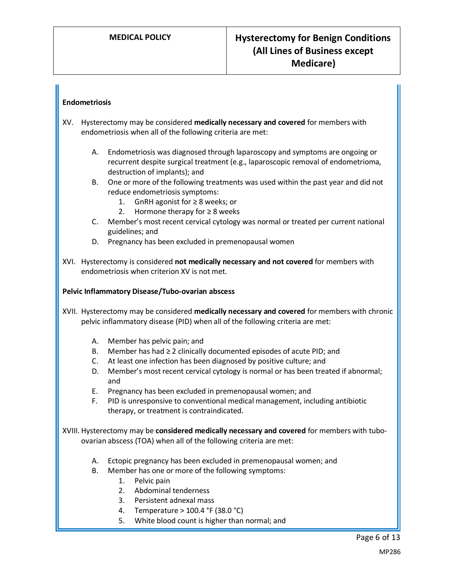### **Endometriosis**

- XV. Hysterectomy may be considered **medically necessary and covered** for members with endometriosis when all of the following criteria are met:
	- A. Endometriosis was diagnosed through laparoscopy and symptoms are ongoing or recurrent despite surgical treatment (e.g., laparoscopic removal of endometrioma, destruction of implants); and
	- B. One or more of the following treatments was used within the past year and did not reduce endometriosis symptoms:
		- 1. GnRH agonist for ≥ 8 weeks; or
		- 2. Hormone therapy for  $\geq 8$  weeks
	- C. Member's most recent cervical cytology was normal or treated per current national guidelines; and
	- D. Pregnancy has been excluded in premenopausal women
- XVI. Hysterectomy is considered **not medically necessary and not covered** for members with endometriosis when criterion XV is not met.

### **Pelvic Inflammatory Disease/Tubo-ovarian abscess**

XVII. Hysterectomy may be considered **medically necessary and covered** for members with chronic pelvic inflammatory disease (PID) when all of the following criteria are met:

- A. Member has pelvic pain; and
- B. Member has had  $\geq 2$  clinically documented episodes of acute PID; and
- C. At least one infection has been diagnosed by positive culture; and
- D. Member's most recent cervical cytology is normal or has been treated if abnormal; and
- E. Pregnancy has been excluded in premenopausal women; and
- F. PID is unresponsive to conventional medical management, including antibiotic therapy, or treatment is contraindicated.

XVIII. Hysterectomy may be **considered medically necessary and covered** for members with tuboovarian abscess (TOA) when all of the following criteria are met:

- A. Ectopic pregnancy has been excluded in premenopausal women; and
- B. Member has one or more of the following symptoms:
	- 1. Pelvic pain
	- 2. Abdominal tenderness
	- 3. Persistent adnexal mass
	- 4. Temperature > 100.4 °F (38.0 °C)
	- 5. White blood count is higher than normal; and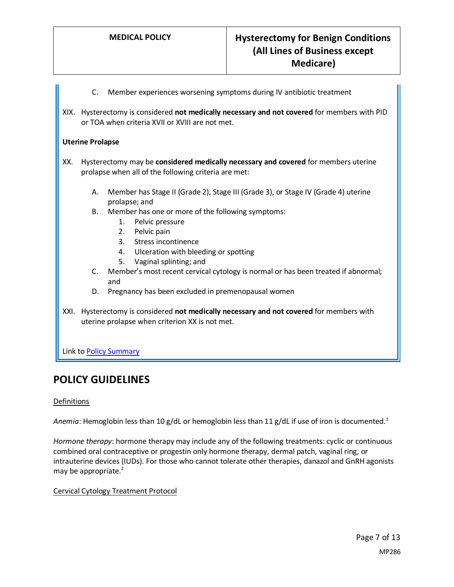- C. Member experiences worsening symptoms during IV antibiotic treatment
- XIX. Hysterectomy is considered **not medically necessary and not covered** for members with PID or TOA when criteria XVII or XVIII are not met.

### **Uterine Prolapse**

- XX. Hysterectomy may be **considered medically necessary and covered** for members uterine prolapse when all of the following criteria are met:
	- A. Member has Stage II (Grade 2), Stage III (Grade 3), or Stage IV (Grade 4) uterine prolapse; and
	- B. Member has one or more of the following symptoms:
		- 1. Pelvic pressure
		- 2. Pelvic pain
		- 3. Stress incontinence
		- 4. Ulceration with bleeding or spotting
		- 5. Vaginal splinting; and
	- C. Member's most recent cervical cytology is normal or has been treated if abnormal; and
	- D. Pregnancy has been excluded in premenopausal women
- XXI. Hysterectomy is considered **not medically necessary and not covered** for members with uterine prolapse when criterion XX is not met.

Link to Policy Summary

## **POLICY GUIDELINES**

### Definitions

<span id="page-6-0"></span>Anemia: Hemoglobin less than 10 g/dL or hemoglobin less than 11 g/dL if use of iron is documented.<sup>1</sup>

*Hormone therapy*: hormone therapy may include any of the following treatments: cyclic or continuous combined oral contraceptive or progestin only hormone therapy, dermal patch, vaginal ring, or intrauterine devices (IUDs). For those who cannot tolerate other therapies, danazol and GnRH agonists may be appropriate. $2^2$ 

### Cervical Cytology Treatment Protocol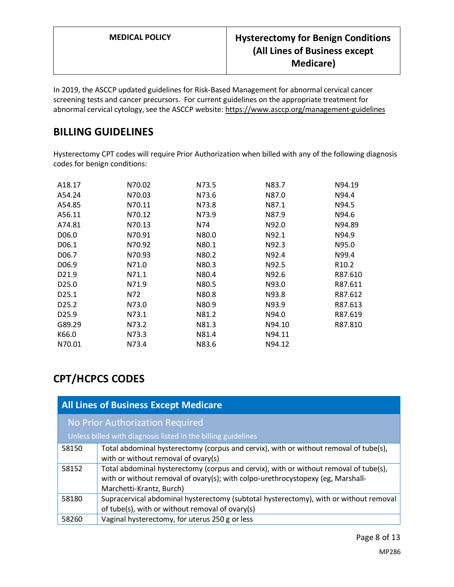In 2019, the ASCCP updated guidelines for Risk-Based Management for abnormal cervical cancer screening tests and cancer precursors. For current guidelines on the appropriate treatment for abnormal cervical cytology, see the ASCCP website: https://www.asccp.org/management-guidelines

# **BILLING GUIDELINES**

<span id="page-7-0"></span>Hysterectomy CPT codes will require Prior Authorization when billed with any of the following diagnosis codes for benign conditions:

| A18.17            | N70.02 | N73.5 | N83.7  | N94.19            |
|-------------------|--------|-------|--------|-------------------|
| A54.24            | N70.03 | N73.6 | N87.0  | N94.4             |
| A54.85            | N70.11 | N73.8 | N87.1  | N94.5             |
| A56.11            | N70.12 | N73.9 | N87.9  | N94.6             |
| A74.81            | N70.13 | N74   | N92.0  | N94.89            |
| D06.0             | N70.91 | N80.0 | N92.1  | N94.9             |
| D06.1             | N70.92 | N80.1 | N92.3  | N95.0             |
| D <sub>06.7</sub> | N70.93 | N80.2 | N92.4  | N99.4             |
| D <sub>06.9</sub> | N71.0  | N80.3 | N92.5  | R <sub>10.2</sub> |
| D <sub>21.9</sub> | N71.1  | N80.4 | N92.6  | R87.610           |
| D <sub>25.0</sub> | N71.9  | N80.5 | N93.0  | R87.611           |
| D <sub>25.1</sub> | N72    | N80.8 | N93.8  | R87.612           |
| D <sub>25.2</sub> | N73.0  | N80.9 | N93.9  | R87.613           |
| D25.9             | N73.1  | N81.2 | N94.0  | R87.619           |
| G89.29            | N73.2  | N81.3 | N94.10 | R87.810           |
| K66.0             | N73.3  | N81.4 | N94.11 |                   |
| N70.01            | N73.4  | N83.6 | N94.12 |                   |

# **CPT/HCPCS CODES**

| <b>All Lines of Business Except Medicare</b>                  |                                                                                                                                                                                                      |  |
|---------------------------------------------------------------|------------------------------------------------------------------------------------------------------------------------------------------------------------------------------------------------------|--|
| No Prior Authorization Required                               |                                                                                                                                                                                                      |  |
| Unless billed with diagnosis listed in the billing guidelines |                                                                                                                                                                                                      |  |
| 58150                                                         | Total abdominal hysterectomy (corpus and cervix), with or without removal of tube(s),<br>with or without removal of ovary(s)                                                                         |  |
| 58152                                                         | Total abdominal hysterectomy (corpus and cervix), with or without removal of tube(s),<br>with or without removal of ovary(s); with colpo-urethrocystopexy (eg, Marshall-<br>Marchetti-Krantz, Burch) |  |
| 58180                                                         | Supracervical abdominal hysterectomy (subtotal hysterectomy), with or without removal<br>of tube(s), with or without removal of ovary(s)                                                             |  |
| 58260                                                         | Vaginal hysterectomy, for uterus 250 g or less                                                                                                                                                       |  |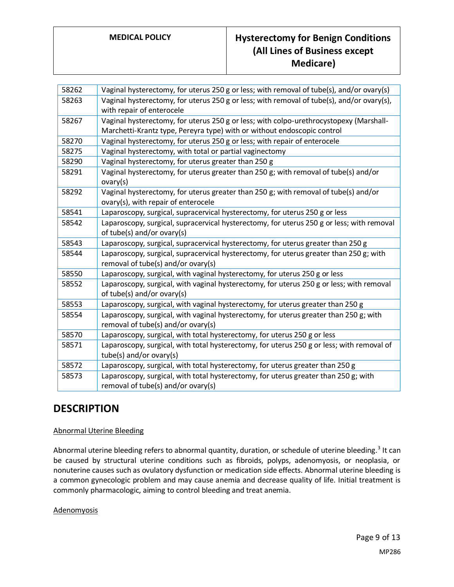# **MEDICAL POLICY Hysterectomy for Benign Conditions (All Lines of Business except Medicare)**

| 58262 | Vaginal hysterectomy, for uterus 250 g or less; with removal of tube(s), and/or ovary(s)                                                                          |
|-------|-------------------------------------------------------------------------------------------------------------------------------------------------------------------|
| 58263 | Vaginal hysterectomy, for uterus 250 g or less; with removal of tube(s), and/or ovary(s),<br>with repair of enterocele                                            |
| 58267 | Vaginal hysterectomy, for uterus 250 g or less; with colpo-urethrocystopexy (Marshall-<br>Marchetti-Krantz type, Pereyra type) with or without endoscopic control |
| 58270 | Vaginal hysterectomy, for uterus 250 g or less; with repair of enterocele                                                                                         |
| 58275 | Vaginal hysterectomy, with total or partial vaginectomy                                                                                                           |
| 58290 | Vaginal hysterectomy, for uterus greater than 250 g                                                                                                               |
| 58291 | Vaginal hysterectomy, for uterus greater than 250 g; with removal of tube(s) and/or<br>ovary(s)                                                                   |
| 58292 | Vaginal hysterectomy, for uterus greater than 250 g; with removal of tube(s) and/or<br>ovary(s), with repair of enterocele                                        |
| 58541 | Laparoscopy, surgical, supracervical hysterectomy, for uterus 250 g or less                                                                                       |
| 58542 | Laparoscopy, surgical, supracervical hysterectomy, for uterus 250 g or less; with removal<br>of tube(s) and/or ovary(s)                                           |
| 58543 | Laparoscopy, surgical, supracervical hysterectomy, for uterus greater than 250 g                                                                                  |
| 58544 | Laparoscopy, surgical, supracervical hysterectomy, for uterus greater than 250 g; with<br>removal of tube(s) and/or ovary(s)                                      |
| 58550 | Laparoscopy, surgical, with vaginal hysterectomy, for uterus 250 g or less                                                                                        |
| 58552 | Laparoscopy, surgical, with vaginal hysterectomy, for uterus 250 g or less; with removal<br>of tube(s) and/or ovary(s)                                            |
| 58553 | Laparoscopy, surgical, with vaginal hysterectomy, for uterus greater than 250 g                                                                                   |
| 58554 | Laparoscopy, surgical, with vaginal hysterectomy, for uterus greater than 250 g; with<br>removal of tube(s) and/or ovary(s)                                       |
| 58570 | Laparoscopy, surgical, with total hysterectomy, for uterus 250 g or less                                                                                          |
| 58571 | Laparoscopy, surgical, with total hysterectomy, for uterus 250 g or less; with removal of<br>tube(s) and/or ovary(s)                                              |
| 58572 | Laparoscopy, surgical, with total hysterectomy, for uterus greater than 250 g                                                                                     |
| 58573 | Laparoscopy, surgical, with total hysterectomy, for uterus greater than 250 g; with                                                                               |
|       | removal of tube(s) and/or ovary(s)                                                                                                                                |
|       |                                                                                                                                                                   |

# **DESCRIPTION**

### Abnormal Uterine Bleeding

Abnormal uterine bleeding refers to abnormal quantity, duration, or schedule of uterine bleeding.<sup>3</sup> It can be caused by structural uterine conditions such as fibroids, polyps, adenomyosis, or neoplasia, or nonuterine causes such as ovulatory dysfunction or medication side effects. Abnormal uterine bleeding is a common gynecologic problem and may cause anemia and decrease quality of life. Initial treatment is commonly pharmacologic, aiming to control bleeding and treat anemia.

### Adenomyosis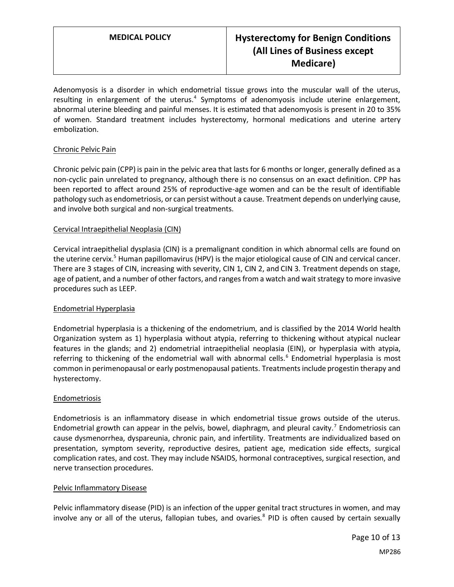Adenomyosis is a disorder in which endometrial tissue grows into the muscular wall of the uterus, resulting in enlargement of the uterus.<sup>4</sup> Symptoms of adenomyosis include uterine enlargement, abnormal uterine bleeding and painful menses. It is estimated that adenomyosis is present in 20 to 35% of women. Standard treatment includes hysterectomy, hormonal medications and uterine artery embolization.

### Chronic Pelvic Pain

Chronic pelvic pain (CPP) is pain in the pelvic area that lasts for 6 months or longer, generally defined as a non-cyclic pain unrelated to pregnancy, although there is no consensus on an exact definition. CPP has been reported to affect around 25% of reproductive-age women and can be the result of identifiable pathology such as endometriosis, or can persist without a cause. Treatment depends on underlying cause, and involve both surgical and non-surgical treatments.

### Cervical Intraepithelial Neoplasia (CIN)

Cervical intraepithelial dysplasia (CIN) is a premalignant condition in which abnormal cells are found on the uterine cervix.<sup>5</sup> Human papillomavirus (HPV) is the major etiological cause of CIN and cervical cancer. There are 3 stages of CIN, increasing with severity, CIN 1, CIN 2, and CIN 3. Treatment depends on stage, age of patient, and a number of other factors, and ranges from a watch and wait strategy to more invasive procedures such as LEEP.

### Endometrial Hyperplasia

Endometrial hyperplasia is a thickening of the endometrium, and is classified by the 2014 World health Organization system as 1) hyperplasia without atypia, referring to thickening without atypical nuclear features in the glands; and 2) endometrial intraepithelial neoplasia (EIN), or hyperplasia with atypia, referring to thickening of the endometrial wall with abnormal cells.<sup>6</sup> Endometrial hyperplasia is most common in perimenopausal or early postmenopausal patients. Treatments include progestin therapy and hysterectomy.

### Endometriosis

Endometriosis is an inflammatory disease in which endometrial tissue grows outside of the uterus. Endometrial growth can appear in the pelvis, bowel, diaphragm, and pleural cavity.<sup>7</sup> Endometriosis can cause dysmenorrhea, dyspareunia, chronic pain, and infertility. Treatments are individualized based on presentation, symptom severity, reproductive desires, patient age, medication side effects, surgical complication rates, and cost. They may include NSAIDS, hormonal contraceptives, surgical resection, and nerve transection procedures.

### Pelvic Inflammatory Disease

Pelvic inflammatory disease (PID) is an infection of the upper genital tract structures in women, and may involve any or all of the uterus, fallopian tubes, and ovaries.<sup>8</sup> PID is often caused by certain sexually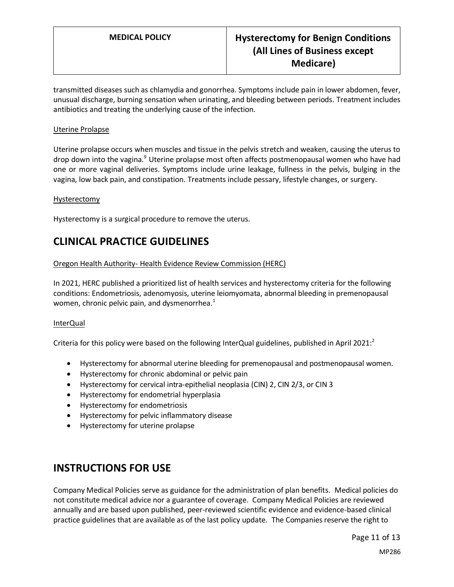transmitted diseases such as chlamydia and gonorrhea. Symptoms include pain in lower abdomen, fever, unusual discharge, burning sensation when urinating, and bleeding between periods. Treatment includes antibiotics and treating the underlying cause of the infection.

### Uterine Prolapse

Uterine prolapse occurs when muscles and tissue in the pelvis stretch and weaken, causing the uterus to drop down into the vagina.<sup>9</sup> Uterine prolapse most often affects postmenopausal women who have had one or more vaginal deliveries. Symptoms include urine leakage, fullness in the pelvis, bulging in the vagina, low back pain, and constipation. Treatments include pessary, lifestyle changes, or surgery.

### Hysterectomy

Hysterectomy is a surgical procedure to remove the uterus.

# **CLINICAL PRACTICE GUIDELINES**

### Oregon Health Authority- Health Evidence Review Commission (HERC)

In 2021, HERC published a prioritized list of health services and hysterectomy criteria for the following conditions: Endometriosis, adenomyosis, uterine leiomyomata, abnormal bleeding in premenopausal women, chronic pelvic pain, and dysmenorrhea. $<sup>1</sup>$ </sup>

### InterQual

Criteria for this policy were based on the following InterQual guidelines, published in April 2021:

- Hysterectomy for abnormal uterine bleeding for premenopausal and postmenopausal women.
- Hysterectomy for chronic abdominal or pelvic pain
- Hysterectomy for cervical intra-epithelial neoplasia (CIN) 2, CIN 2/3, or CIN 3
- Hysterectomy for endometrial hyperplasia
- Hysterectomy for endometriosis
- Hysterectomy for pelvic inflammatory disease
- Hysterectomy for uterine prolapse

## **INSTRUCTIONS FOR USE**

Company Medical Policies serve as guidance for the administration of plan benefits. Medical policies do not constitute medical advice nor a guarantee of coverage. Company Medical Policies are reviewed annually and are based upon published, peer-reviewed scientific evidence and evidence-based clinical practice guidelines that are available as of the last policy update. The Companies reserve the right to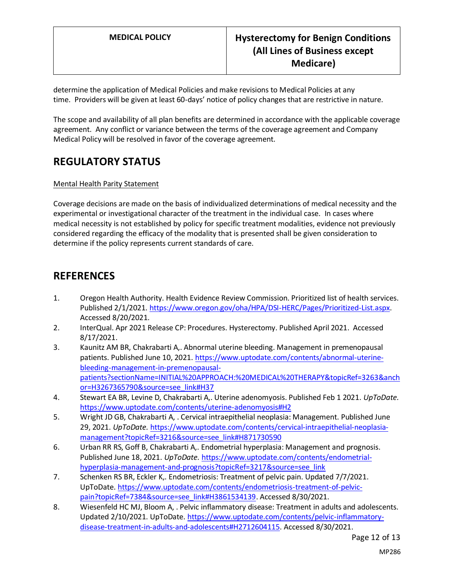determine the application of Medical Policies and make revisions to Medical Policies at any time. Providers will be given at least 60-days' notice of policy changes that are restrictive in nature.

The scope and availability of all plan benefits are determined in accordance with the applicable coverage agreement. Any conflict or variance between the terms of the coverage agreement and Company Medical Policy will be resolved in favor of the coverage agreement.

# **REGULATORY STATUS**

### Mental Health Parity Statement

Coverage decisions are made on the basis of individualized determinations of medical necessity and the experimental or investigational character of the treatment in the individual case. In cases where medical necessity is not established by policy for specific treatment modalities, evidence not previously considered regarding the efficacy of the modality that is presented shall be given consideration to determine if the policy represents current standards of care.

### **REFERENCES**

- 1. Oregon Health Authority. Health Evidence Review Commission. Prioritized list of health services. Published 2/1/2021[. https://www.oregon.gov/oha/HPA/DSI-HERC/Pages/Prioritized-List.aspx.](https://www.oregon.gov/oha/HPA/DSI-HERC/Pages/Prioritized-List.aspx) Accessed 8/20/2021.
- 2. InterQual. Apr 2021 Release CP: Procedures. Hysterectomy. Published April 2021. Accessed 8/17/2021.
- 3. Kaunitz AM BR, Chakrabarti A,. Abnormal uterine bleeding. Management in premenopausal patients. Published June 10, 2021. [https://www.uptodate.com/contents/abnormal-uterine](https://www.uptodate.com/contents/abnormal-uterine-bleeding-management-in-premenopausal-patients?sectionName=INITIAL%20APPROACH:%20MEDICAL%20THERAPY&topicRef=3263&anchor=H3267365790&source=see_link#H37)[bleeding-management-in-premenopausal](https://www.uptodate.com/contents/abnormal-uterine-bleeding-management-in-premenopausal-patients?sectionName=INITIAL%20APPROACH:%20MEDICAL%20THERAPY&topicRef=3263&anchor=H3267365790&source=see_link#H37)[patients?sectionName=INITIAL%20APPROACH:%20MEDICAL%20THERAPY&topicRef=3263&anch](https://www.uptodate.com/contents/abnormal-uterine-bleeding-management-in-premenopausal-patients?sectionName=INITIAL%20APPROACH:%20MEDICAL%20THERAPY&topicRef=3263&anchor=H3267365790&source=see_link#H37) [or=H3267365790&source=see\\_link#H37](https://www.uptodate.com/contents/abnormal-uterine-bleeding-management-in-premenopausal-patients?sectionName=INITIAL%20APPROACH:%20MEDICAL%20THERAPY&topicRef=3263&anchor=H3267365790&source=see_link#H37)
- 4. Stewart EA BR, Levine D, Chakrabarti A,. Uterine adenomyosis. Published Feb 1 2021. *UpToDate.* <https://www.uptodate.com/contents/uterine-adenomyosis#H2>
- 5. Wright JD GB, Chakrabarti A, . Cervical intraepithelial neoplasia: Management. Published June 29, 2021. *UpToDate.* [https://www.uptodate.com/contents/cervical-intraepithelial-neoplasia](https://www.uptodate.com/contents/cervical-intraepithelial-neoplasia-management?topicRef=3216&source=see_link#H871730590)[management?topicRef=3216&source=see\\_link#H871730590](https://www.uptodate.com/contents/cervical-intraepithelial-neoplasia-management?topicRef=3216&source=see_link#H871730590)
- 6. Urban RR RS, Goff B, Chakrabarti A,. Endometrial hyperplasia: Management and prognosis. Published June 18, 2021. *UpToDate.* [https://www.uptodate.com/contents/endometrial](https://www.uptodate.com/contents/endometrial-hyperplasia-management-and-prognosis?topicRef=3217&source=see_link)[hyperplasia-management-and-prognosis?topicRef=3217&source=see\\_link](https://www.uptodate.com/contents/endometrial-hyperplasia-management-and-prognosis?topicRef=3217&source=see_link)
- 7. Schenken RS BR, Eckler K,. Endometriosis: Treatment of pelvic pain. Updated 7/7/2021. UpToDate[. https://www.uptodate.com/contents/endometriosis-treatment-of-pelvic](https://www.uptodate.com/contents/endometriosis-treatment-of-pelvic-pain?topicRef=7384&source=see_link#H3861534139)[pain?topicRef=7384&source=see\\_link#H3861534139.](https://www.uptodate.com/contents/endometriosis-treatment-of-pelvic-pain?topicRef=7384&source=see_link#H3861534139) Accessed 8/30/2021.
- 8. Wiesenfeld HC MJ, Bloom A, . Pelvic inflammatory disease: Treatment in adults and adolescents. Updated 2/10/2021. UpToDate[. https://www.uptodate.com/contents/pelvic-inflammatory](https://www.uptodate.com/contents/pelvic-inflammatory-disease-treatment-in-adults-and-adolescents#H2712604115)[disease-treatment-in-adults-and-adolescents#H2712604115.](https://www.uptodate.com/contents/pelvic-inflammatory-disease-treatment-in-adults-and-adolescents#H2712604115) Accessed 8/30/2021.